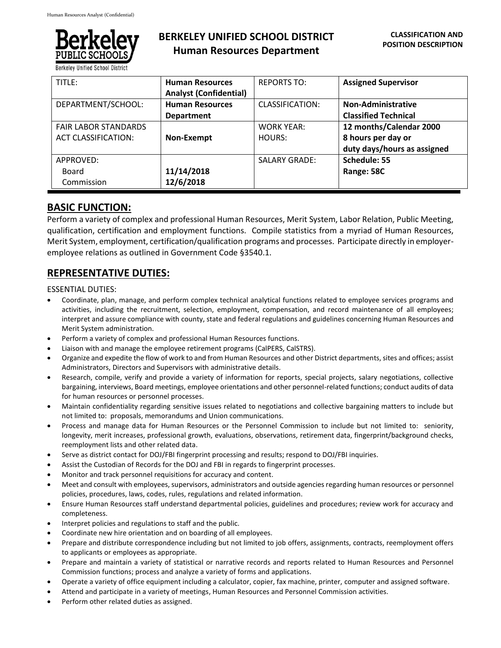

**Berkeley Unified School District** 

# **BERKELEY UNIFIED SCHOOL DISTRICT Human Resources Department**

| TITLE:                      | <b>Human Resources</b>        | <b>REPORTS TO:</b>   | <b>Assigned Supervisor</b>  |
|-----------------------------|-------------------------------|----------------------|-----------------------------|
|                             | <b>Analyst (Confidential)</b> |                      |                             |
| DEPARTMENT/SCHOOL:          | <b>Human Resources</b>        | CLASSIFICATION:      | Non-Administrative          |
|                             | <b>Department</b>             |                      | <b>Classified Technical</b> |
| <b>FAIR LABOR STANDARDS</b> |                               | <b>WORK YEAR:</b>    | 12 months/Calendar 2000     |
| <b>ACT CLASSIFICATION:</b>  | Non-Exempt                    | HOURS:               | 8 hours per day or          |
|                             |                               |                      | duty days/hours as assigned |
| APPROVED:                   |                               | <b>SALARY GRADE:</b> | Schedule: 55                |
| Board                       | 11/14/2018                    |                      | Range: 58C                  |
| Commission                  | 12/6/2018                     |                      |                             |

## **BASIC FUNCTION:**

Perform a variety of complex and professional Human Resources, Merit System, Labor Relation, Public Meeting, qualification, certification and employment functions. Compile statistics from a myriad of Human Resources, Merit System, employment, certification/qualification programs and processes. Participate directly in employeremployee relations as outlined in Government Code §3540.1.

# **REPRESENTATIVE DUTIES:**

## ESSENTIAL DUTIES:

- Coordinate, plan, manage, and perform complex technical analytical functions related to employee services programs and activities, including the recruitment, selection, employment, compensation, and record maintenance of all employees; interpret and assure compliance with county, state and federal regulations and guidelines concerning Human Resources and Merit System administration.
- Perform a variety of complex and professional Human Resources functions.
- Liaison with and manage the employee retirement programs (CalPERS, CalSTRS).
- Organize and expedite the flow of work to and from Human Resources and other District departments, sites and offices; assist Administrators, Directors and Supervisors with administrative details.
- Research, compile, verify and provide a variety of information for reports, special projects, salary negotiations, collective bargaining, interviews, Board meetings, employee orientations and other personnel-related functions; conduct audits of data for human resources or personnel processes.
- Maintain confidentiality regarding sensitive issues related to negotiations and collective bargaining matters to include but not limited to: proposals, memorandums and Union communications.
- Process and manage data for Human Resources or the Personnel Commission to include but not limited to: seniority, longevity, merit increases, professional growth, evaluations, observations, retirement data, fingerprint/background checks, reemployment lists and other related data.
- Serve as district contact for DOJ/FBI fingerprint processing and results; respond to DOJ/FBI inquiries.
- Assist the Custodian of Records for the DOJ and FBI in regards to fingerprint processes.
- Monitor and track personnel requisitions for accuracy and content.
- Meet and consult with employees, supervisors, administrators and outside agencies regarding human resources or personnel policies, procedures, laws, codes, rules, regulations and related information.
- Ensure Human Resources staff understand departmental policies, guidelines and procedures; review work for accuracy and completeness.
- Interpret policies and regulations to staff and the public.
- Coordinate new hire orientation and on boarding of all employees.
- Prepare and distribute correspondence including but not limited to job offers, assignments, contracts, reemployment offers to applicants or employees as appropriate.
- Prepare and maintain a variety of statistical or narrative records and reports related to Human Resources and Personnel Commission functions; process and analyze a variety of forms and applications.
- Operate a variety of office equipment including a calculator, copier, fax machine, printer, computer and assigned software.
- Attend and participate in a variety of meetings, Human Resources and Personnel Commission activities.
- Perform other related duties as assigned.